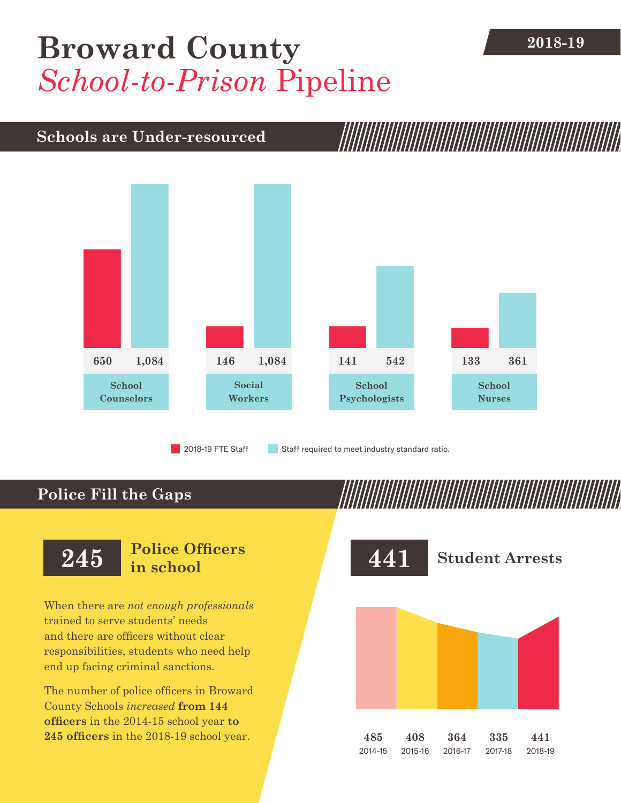## **[Broward County](DBF_County)** 2018-19 *School-to-Prison* Pipeline

## **Schools are Under-resourced**



2018-19 FTE Staff **Staff required to meet industry standard ratio.** 

## **Police Fill the Gaps**

When there are *not enough professionals* trained to serve students' needs and there are officers without clear responsibilities, students who need help end up facing criminal sanctions.

The number of police officers in [Broward](DBF_County)  [County](DBF_County) Schools *increased* **from [144](DBF_PO1415)  officers** in the 2014-15 school year **to [245](DBF_PO) officers** in the 2018-19 school year.